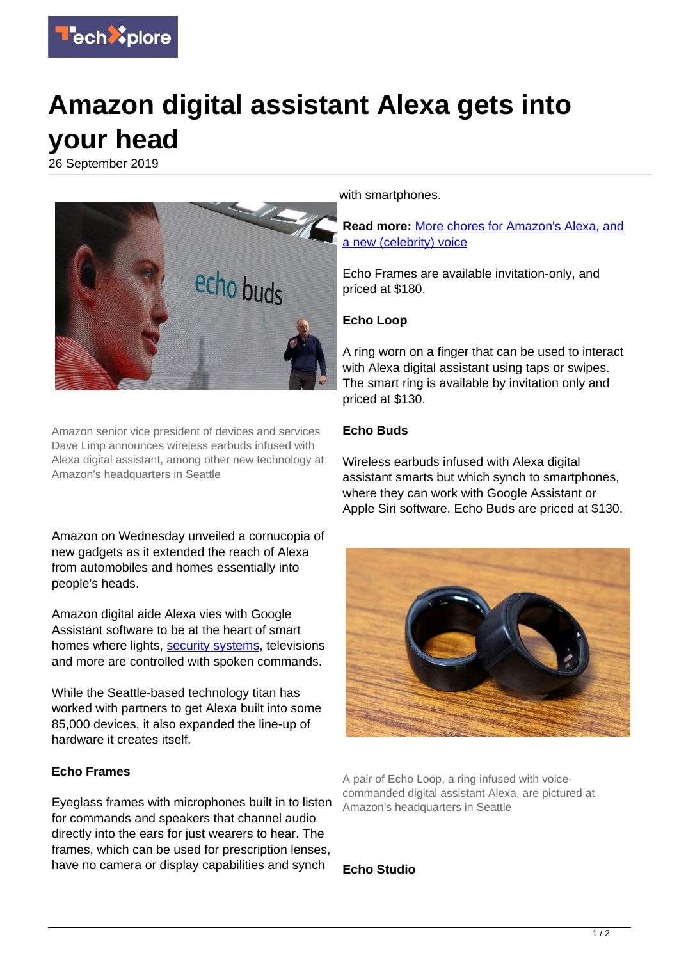

# **Amazon digital assistant Alexa gets into your head**

26 September 2019



Amazon senior vice president of devices and services Dave Limp announces wireless earbuds infused with Alexa digital assistant, among other new technology at Amazon's headquarters in Seattle

Amazon on Wednesday unveiled a cornucopia of new gadgets as it extended the reach of Alexa from automobiles and homes essentially into people's heads.

Amazon digital aide Alexa vies with Google Assistant software to be at the heart of smart homes where lights, [security systems,](https://techxplore.com/tags/security+systems/) televisions and more are controlled with spoken commands.

While the Seattle-based technology titan has worked with partners to get Alexa built into some 85,000 devices, it also expanded the line-up of hardware it creates itself.

# **Echo Frames**

Eyeglass frames with microphones built in to listen for commands and speakers that channel audio directly into the ears for just wearers to hear. The frames, which can be used for prescription lenses, have no camera or display capabilities and synch

with smartphones.

**Read more:** [More chores for Amazon's Alexa, and](https://techxplore.com/news/2019-09-chores-amazon-alexa-celebrity-voice.html) [a new \(celebrity\) voice](https://techxplore.com/news/2019-09-chores-amazon-alexa-celebrity-voice.html)

Echo Frames are available invitation-only, and priced at \$180.

# **Echo Loop**

A ring worn on a finger that can be used to interact with Alexa digital assistant using taps or swipes. The smart ring is available by invitation only and priced at \$130.

### **Echo Buds**

Wireless earbuds infused with Alexa digital assistant smarts but which synch to smartphones, where they can work with Google Assistant or Apple Siri software. Echo Buds are priced at \$130.



A pair of Echo Loop, a ring infused with voicecommanded digital assistant Alexa, are pictured at Amazon's headquarters in Seattle

**Echo Studio**